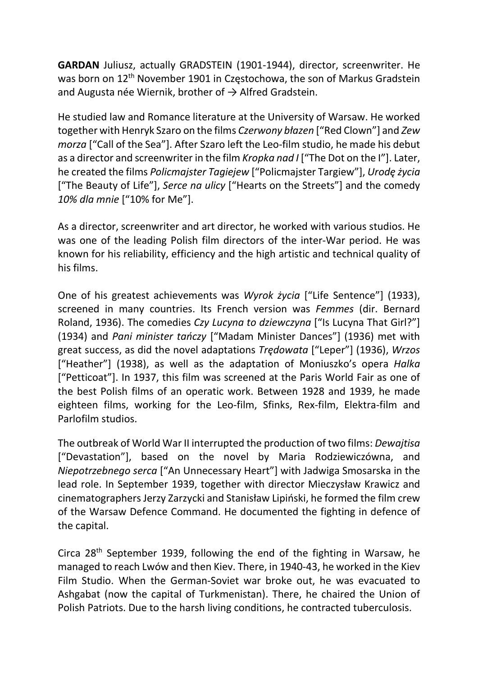GARDAN Juliusz, actually GRADSTEIN (1901-1944), director, screenwriter. He was born on 12<sup>th</sup> November 1901 in Częstochowa, the son of Markus Gradstein and Augusta née Wiernik, brother of  $\rightarrow$  Alfred Gradstein.

He studied law and Romance literature at the University of Warsaw. He worked together with Henryk Szaro on the films Czerwony błazen ["Red Clown"] and Zew morza ["Call of the Sea"]. After Szaro left the Leo-film studio, he made his debut as a director and screenwriter in the film Kropka nad I ["The Dot on the I"]. Later, he created the films Policmajster Tagiejew ["Policmajster Targiew"], Urodę życia ["The Beauty of Life"], Serce na ulicy ["Hearts on the Streets"] and the comedy 10% dla mnie ["10% for Me"].

As a director, screenwriter and art director, he worked with various studios. He was one of the leading Polish film directors of the inter-War period. He was known for his reliability, efficiency and the high artistic and technical quality of his films.

One of his greatest achievements was Wyrok życia ["Life Sentence"] (1933), screened in many countries. Its French version was Femmes (dir. Bernard Roland, 1936). The comedies Czy Lucyna to dziewczyna ["Is Lucyna That Girl?"] (1934) and Pani minister tańczy ["Madam Minister Dances"] (1936) met with great success, as did the novel adaptations Trędowata ["Leper"] (1936), Wrzos ["Heather"] (1938), as well as the adaptation of Moniuszko's opera Halka ["Petticoat"]. In 1937, this film was screened at the Paris World Fair as one of the best Polish films of an operatic work. Between 1928 and 1939, he made eighteen films, working for the Leo-film, Sfinks, Rex-film, Elektra-film and Parlofilm studios.

The outbreak of World War II interrupted the production of two films: Dewajtisa ["Devastation"], based on the novel by Maria Rodziewiczówna, and Niepotrzebnego serca ["An Unnecessary Heart"] with Jadwiga Smosarska in the lead role. In September 1939, together with director Mieczysław Krawicz and cinematographers Jerzy Zarzycki and Stanisław Lipiński, he formed the film crew of the Warsaw Defence Command. He documented the fighting in defence of the capital.

Circa 28th September 1939, following the end of the fighting in Warsaw, he managed to reach Lwów and then Kiev. There, in 1940-43, he worked in the Kiev Film Studio. When the German-Soviet war broke out, he was evacuated to Ashgabat (now the capital of Turkmenistan). There, he chaired the Union of Polish Patriots. Due to the harsh living conditions, he contracted tuberculosis.